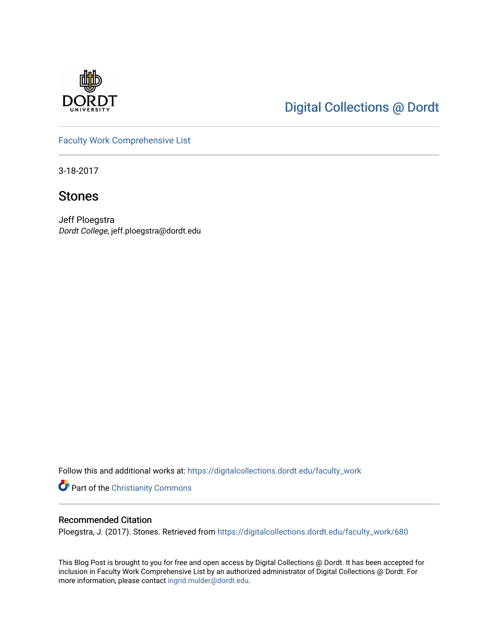

# [Digital Collections @ Dordt](https://digitalcollections.dordt.edu/)

[Faculty Work Comprehensive List](https://digitalcollections.dordt.edu/faculty_work)

3-18-2017

# Stones

Jeff Ploegstra Dordt College, jeff.ploegstra@dordt.edu

Follow this and additional works at: [https://digitalcollections.dordt.edu/faculty\\_work](https://digitalcollections.dordt.edu/faculty_work?utm_source=digitalcollections.dordt.edu%2Ffaculty_work%2F680&utm_medium=PDF&utm_campaign=PDFCoverPages) 

Part of the [Christianity Commons](http://network.bepress.com/hgg/discipline/1181?utm_source=digitalcollections.dordt.edu%2Ffaculty_work%2F680&utm_medium=PDF&utm_campaign=PDFCoverPages) 

## Recommended Citation

Ploegstra, J. (2017). Stones. Retrieved from [https://digitalcollections.dordt.edu/faculty\\_work/680](https://digitalcollections.dordt.edu/faculty_work/680?utm_source=digitalcollections.dordt.edu%2Ffaculty_work%2F680&utm_medium=PDF&utm_campaign=PDFCoverPages) 

This Blog Post is brought to you for free and open access by Digital Collections @ Dordt. It has been accepted for inclusion in Faculty Work Comprehensive List by an authorized administrator of Digital Collections @ Dordt. For more information, please contact [ingrid.mulder@dordt.edu.](mailto:ingrid.mulder@dordt.edu)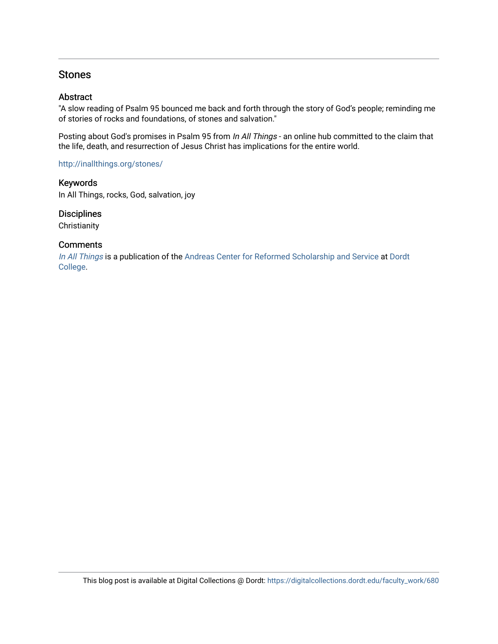## **Stones**

#### Abstract

"A slow reading of Psalm 95 bounced me back and forth through the story of God's people; reminding me of stories of rocks and foundations, of stones and salvation."

Posting about God's promises in Psalm 95 from In All Things - an online hub committed to the claim that the life, death, and resurrection of Jesus Christ has implications for the entire world.

#### <http://inallthings.org/stones/>

Keywords In All Things, rocks, God, salvation, joy

### **Disciplines**

**Christianity** 

#### **Comments**

[In All Things](http://inallthings.org/) is a publication of the [Andreas Center for Reformed Scholarship and Service](http://www.dordt.edu/services_support/andreas_center/) at Dordt [College](http://www.dordt.edu/).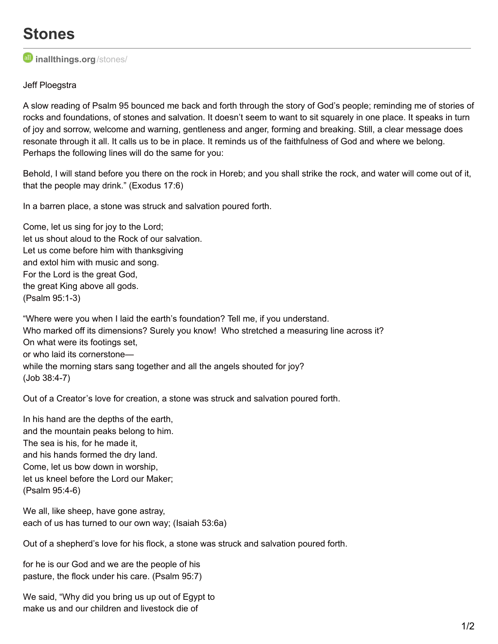# **Stones**

**[inallthings.org](http://inallthings.org/stones/)**/stones/

Jeff Ploegstra

A slow reading of Psalm 95 bounced me back and forth through the story of God's people; reminding me of stories of rocks and foundations, of stones and salvation. It doesn't seem to want to sit squarely in one place. It speaks in turn of joy and sorrow, welcome and warning, gentleness and anger, forming and breaking. Still, a clear message does resonate through it all. It calls us to be in place. It reminds us of the faithfulness of God and where we belong. Perhaps the following lines will do the same for you:

Behold, I will stand before you there on the rock in Horeb; and you shall strike the rock, and water will come out of it, that the people may drink." (Exodus 17:6)

In a barren place, a stone was struck and salvation poured forth.

Come, let us sing for joy to the Lord; let us shout aloud to the Rock of our salvation. Let us come before him with thanksgiving and extol him with music and song. For the Lord is the great God, the great King above all gods. (Psalm 95:1-3)

"Where were you when I laid the earth's foundation? Tell me, if you understand. Who marked off its dimensions? Surely you know! Who stretched a measuring line across it? On what were its footings set, or who laid its cornerstone while the morning stars sang together and all the angels shouted for joy? (Job 38:4-7)

Out of a Creator's love for creation, a stone was struck and salvation poured forth.

In his hand are the depths of the earth, and the mountain peaks belong to him. The sea is his, for he made it, and his hands formed the dry land. Come, let us bow down in worship, let us kneel before the Lord our Maker; (Psalm 95:4-6)

We all, like sheep, have gone astray, each of us has turned to our own way; (Isaiah 53:6a)

Out of a shepherd's love for his flock, a stone was struck and salvation poured forth.

for he is our God and we are the people of his pasture, the flock under his care. (Psalm 95:7)

We said, "Why did you bring us up out of Egypt to make us and our children and livestock die of